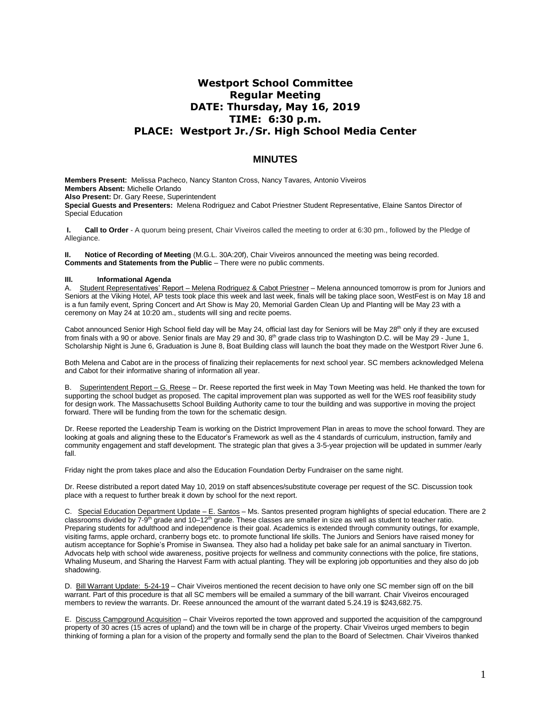# **Westport School Committee Regular Meeting DATE: Thursday, May 16, 2019 TIME: 6:30 p.m. PLACE: Westport Jr./Sr. High School Media Center**

## **MINUTES**

**Members Present:** Melissa Pacheco, Nancy Stanton Cross, Nancy Tavares*,* Antonio Viveiros **Members Absent:** Michelle Orlando **Also Present:** Dr. Gary Reese, Superintendent **Special Guests and Presenters:** Melena Rodriguez and Cabot Priestner Student Representative, Elaine Santos Director of Special Education

**I. Call to Order** - A quorum being present, Chair Viveiros called the meeting to order at 6:30 pm., followed by the Pledge of Allegiance.

**II. Notice of Recording of Meeting** (M.G.L. 30A:20f), Chair Viveiros announced the meeting was being recorded. **Comments and Statements from the Public** – There were no public comments.

### **III. Informational Agenda**

A. Student Representatives' Report – Melena Rodriguez & Cabot Priestner – Melena announced tomorrow is prom for Juniors and Seniors at the Viking Hotel, AP tests took place this week and last week, finals will be taking place soon, WestFest is on May 18 and is a fun family event, Spring Concert and Art Show is May 20, Memorial Garden Clean Up and Planting will be May 23 with a ceremony on May 24 at 10:20 am., students will sing and recite poems.

Cabot announced Senior High School field day will be May 24, official last day for Seniors will be May 28<sup>th</sup> only if they are excused from finals with a 90 or above. Senior finals are May 29 and 30, 8<sup>th</sup> grade class trip to Washington D.C. will be May 29 - June 1, Scholarship Night is June 6, Graduation is June 8, Boat Building class will launch the boat they made on the Westport River June 6.

Both Melena and Cabot are in the process of finalizing their replacements for next school year. SC members acknowledged Melena and Cabot for their informative sharing of information all year.

B. Superintendent Report – G. Reese – Dr. Reese reported the first week in May Town Meeting was held. He thanked the town for supporting the school budget as proposed. The capital improvement plan was supported as well for the WES roof feasibility study for design work. The Massachusetts School Building Authority came to tour the building and was supportive in moving the project forward. There will be funding from the town for the schematic design.

Dr. Reese reported the Leadership Team is working on the District Improvement Plan in areas to move the school forward. They are looking at goals and aligning these to the Educator's Framework as well as the 4 standards of curriculum, instruction, family and community engagement and staff development. The strategic plan that gives a 3-5-year projection will be updated in summer /early fall.

Friday night the prom takes place and also the Education Foundation Derby Fundraiser on the same night.

Dr. Reese distributed a report dated May 10, 2019 on staff absences/substitute coverage per request of the SC. Discussion took place with a request to further break it down by school for the next report.

C. Special Education Department Update - E. Santos - Ms. Santos presented program highlights of special education. There are 2 classrooms divided by 7-9<sup>th</sup> grade and 10–12<sup>th</sup> grade. These classes are smaller in size as well as student to teacher ratio. Preparing students for adulthood and independence is their goal. Academics is extended through community outings, for example, visiting farms, apple orchard, cranberry bogs etc. to promote functional life skills. The Juniors and Seniors have raised money for autism acceptance for Sophie's Promise in Swansea. They also had a holiday pet bake sale for an animal sanctuary in Tiverton. Advocats help with school wide awareness, positive projects for wellness and community connections with the police, fire stations, Whaling Museum, and Sharing the Harvest Farm with actual planting. They will be exploring job opportunities and they also do job shadowing.

D. Bill Warrant Update: 5-24-19 – Chair Viveiros mentioned the recent decision to have only one SC member sign off on the bill warrant. Part of this procedure is that all SC members will be emailed a summary of the bill warrant. Chair Viveiros encouraged members to review the warrants. Dr. Reese announced the amount of the warrant dated 5.24.19 is \$243,682.75.

E. Discuss Campground Acquisition – Chair Viveiros reported the town approved and supported the acquisition of the campground property of 30 acres (15 acres of upland) and the town will be in charge of the property. Chair Viveiros urged members to begin thinking of forming a plan for a vision of the property and formally send the plan to the Board of Selectmen. Chair Viveiros thanked